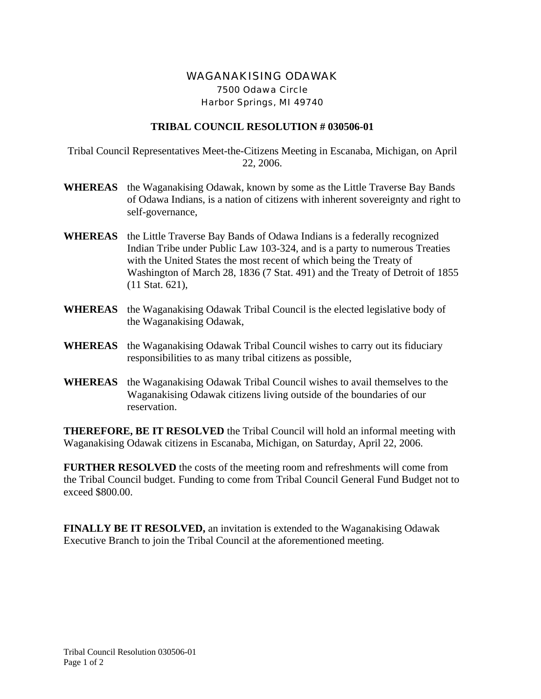## WAGANAKISING ODAWAK 7500 Odawa Circle Harbor Springs, MI 49740

## **TRIBAL COUNCIL RESOLUTION # 030506-01**

Tribal Council Representatives Meet-the-Citizens Meeting in Escanaba, Michigan, on April 22, 2006.

- **WHEREAS** the Waganakising Odawak, known by some as the Little Traverse Bay Bands of Odawa Indians, is a nation of citizens with inherent sovereignty and right to self-governance,
- **WHEREAS** the Little Traverse Bay Bands of Odawa Indians is a federally recognized Indian Tribe under Public Law 103-324, and is a party to numerous Treaties with the United States the most recent of which being the Treaty of Washington of March 28, 1836 (7 Stat. 491) and the Treaty of Detroit of 1855 (11 Stat. 621),
- **WHEREAS** the Waganakising Odawak Tribal Council is the elected legislative body of the Waganakising Odawak,
- **WHEREAS** the Waganakising Odawak Tribal Council wishes to carry out its fiduciary responsibilities to as many tribal citizens as possible,
- **WHEREAS** the Waganakising Odawak Tribal Council wishes to avail themselves to the Waganakising Odawak citizens living outside of the boundaries of our reservation.

**THEREFORE, BE IT RESOLVED** the Tribal Council will hold an informal meeting with Waganakising Odawak citizens in Escanaba, Michigan, on Saturday, April 22, 2006.

**FURTHER RESOLVED** the costs of the meeting room and refreshments will come from the Tribal Council budget. Funding to come from Tribal Council General Fund Budget not to exceed \$800.00.

**FINALLY BE IT RESOLVED,** an invitation is extended to the Waganakising Odawak Executive Branch to join the Tribal Council at the aforementioned meeting.